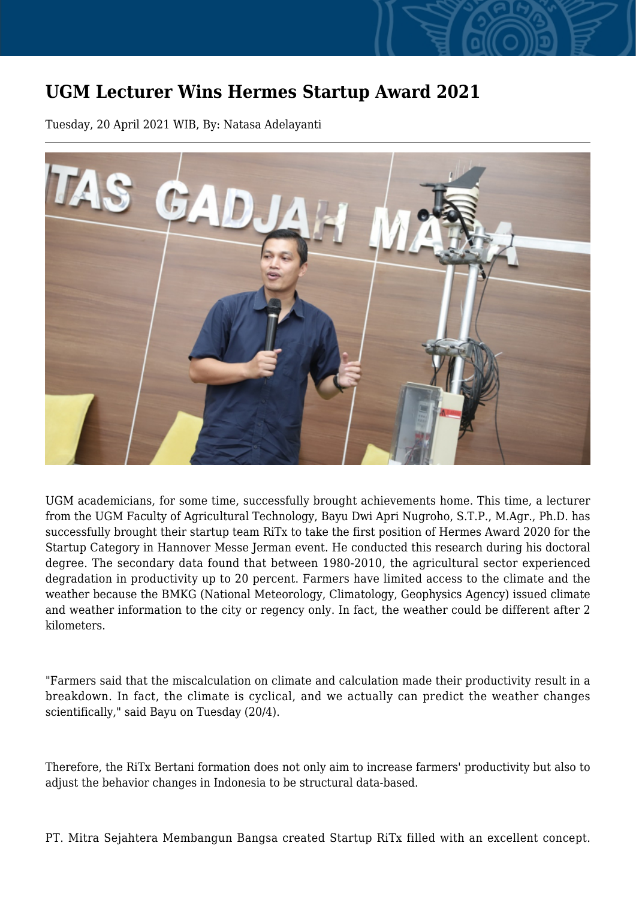## **UGM Lecturer Wins Hermes Startup Award 2021**

Tuesday, 20 April 2021 WIB, By: Natasa Adelayanti



UGM academicians, for some time, successfully brought achievements home. This time, a lecturer from the UGM Faculty of Agricultural Technology, Bayu Dwi Apri Nugroho, S.T.P., M.Agr., Ph.D. has successfully brought their startup team RiTx to take the first position of Hermes Award 2020 for the Startup Category in Hannover Messe Jerman event. He conducted this research during his doctoral degree. The secondary data found that between 1980-2010, the agricultural sector experienced degradation in productivity up to 20 percent. Farmers have limited access to the climate and the weather because the BMKG (National Meteorology, Climatology, Geophysics Agency) issued climate and weather information to the city or regency only. In fact, the weather could be different after 2 kilometers.

"Farmers said that the miscalculation on climate and calculation made their productivity result in a breakdown. In fact, the climate is cyclical, and we actually can predict the weather changes scientifically," said Bayu on Tuesday (20/4).

Therefore, the RiTx Bertani formation does not only aim to increase farmers' productivity but also to adjust the behavior changes in Indonesia to be structural data-based.

PT. Mitra Sejahtera Membangun Bangsa created Startup RiTx filled with an excellent concept.